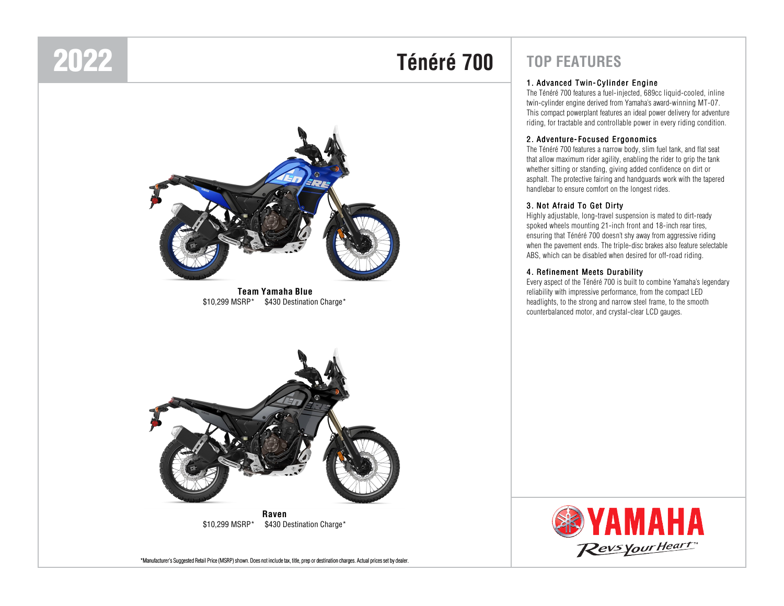# 2022

# **Ténéré 700**



**Team Yamaha Blue**\$10,299 MSRP\* \$430 Destination Charge\*



**Raven**\$10,299 MSRP\* \$430 Destination Charge\*

\*Manufacturer's Suggested Retail Price (MSRP) shown. Does not include tax, title, prep or destination charges. Actual prices set by dealer.

# **TOP FEATURES**

# <sup>1</sup> . Advanced Twin- Cylinder Engine

The Ténéré 700 features a fuel-injected, 689cc liquid-cooled, inline twin-cylinder engine derived from Yamaha's award-winning MT-07. This compact powerplant features an ideal power delivery for adventure riding, for tractable and controllable power in every riding condition.

# <sup>2</sup> . Adventure- Focused Ergonomics

The Ténéré 700 features a narrow body, slim fuel tank, and flat seat that allow maximum rider agility, enabling the rider to grip the tank whether sitting or standing, giving added confidence on dirt or asphalt. The protective fairing and handguards work with the tapered handlebar to ensure comfort on the longest rides.

# <sup>3</sup> . Not Afraid To Get Dirty

Highly adjustable, long-travel suspension is mated to dirt-ready spoked wheels mounting 21-inch front and 18-inch rear tires, ensuring that Ténéré 700 doesn't shy away from aggressive riding when the pavement ends. The triple-disc brakes also feature selectable ABS, which can be disabled when desired for off-road riding.

# <sup>4</sup> . Refinement Meets Durability

Every aspect of the Ténéré 700 is built to combine Yamaha's legendary reliability with impressive performance, from the compact LED headlights, to the strong and narrow steel frame, to the smooth counterbalanced motor, and crystal-clear LCD gauges.

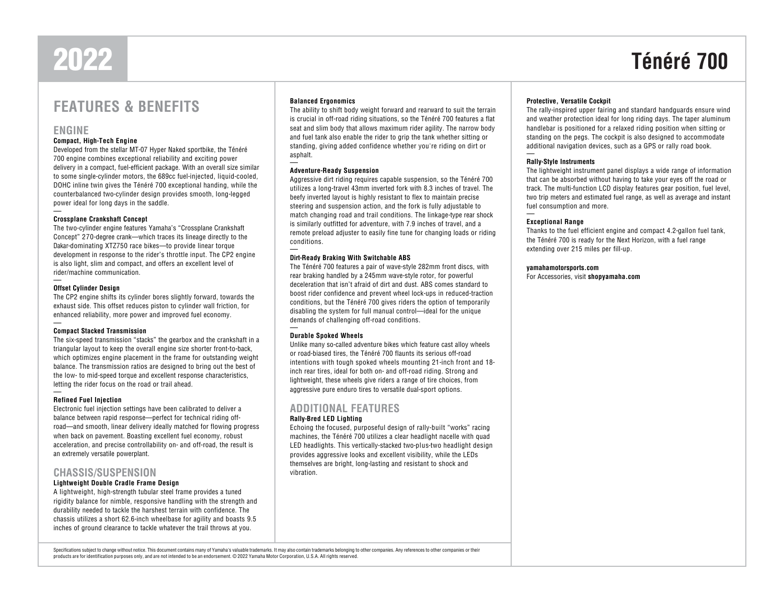# 2022

# **Ténéré 700**

# **FEATURES & BENEFITS**

# **ENGINE**

### **Compact, High-Tech Engine**

 Developed from the stellar MT-07 Hyper Naked sportbike, the Ténéré 700 engine combines exceptional reliability and exciting power delivery in a compact, fuel-efficient package. With an overall size similar to some single-cylinder motors, the 689cc fuel-injected, liquid-cooled, DOHC inline twin gives the Ténéré 700 exceptional handing, while the counterbalanced two-cylinder design provides smooth, long-legged power ideal for long days in the saddle.

## **Crossplane Crankshaft Concept**

 The two-cylinder engine features Yamaha's "Crossplane Crankshaft Concept" 270-degree crank—which traces its lineage directly to the Dakar-dominating XTZ750 race bikes—to provide linear torque development in response to the rider's throttle input. The CP2 engine is also light, slim and compact, and offers an excellent level of rider/machine communication.

### **Offset Cylinder Design**

 The CP2 engine shifts its cylinder bores slightly forward, towards the exhaust side. This offset reduces piston to cylinder wall friction, for enhanced reliability, more power and improved fuel economy.

### **Compact Stacked Transmission**

 The six-speed transmission "stacks" the gearbox and the crankshaft in a triangular layout to keep the overall engine size shorter front-to-back, which optimizes engine placement in the frame for outstanding weight balance. The transmission ratios are designed to bring out the best of the low- to mid-speed torque and excellent response characteristics, letting the rider focus on the road or trail ahead.

### **Refined Fuel Injection**

 Electronic fuel injection settings have been calibrated to deliver a balance between rapid response—perfect for technical riding off- road—and smooth, linear delivery ideally matched for flowing progress when back on pavement. Boasting excellent fuel economy, robust acceleration, and precise controllability on- and off-road, the result is an extremely versatile powerplant.

# **CHASSIS/SUSPENSION**

## **Lightweight Double Cradle Frame Design**

 A lightweight, high-strength tubular steel frame provides a tuned rigidity balance for nimble, responsive handling with the strength and durability needed to tackle the harshest terrain with confidence. The chassis utilizes a short 62.6-inch wheelbase for agility and boasts 9.5 inches of ground clearance to tackle whatever the trail throws at you.

## **Balanced Ergonomics**

 The ability to shift body weight forward and rearward to suit the terrain is crucial in off-road riding situations, so the Ténéré 700 features a flat seat and slim body that allows maximum rider agility. The narrow body and fuel tank also enable the rider to grip the tank whether sitting or standing, giving added confidence whether you're riding on dirt or asphalt.

### **Adventure-Ready Suspension**

 Aggressive dirt riding requires capable suspension, so the Ténéré 700 utilizes a long-travel 43mm inverted fork with 8.3 inches of travel. The beefy inverted layout is highly resistant to flex to maintain precise steering and suspension action, and the fork is fully adjustable to match changing road and trail conditions. The linkage-type rear shock is similarly outfitted for adventure, with 7.9 inches of travel, and a remote preload adjuster to easily fine tune for changing loads or riding conditions.

### **Dirt-Ready Braking With Switchable ABS**

 The Ténéré 700 features a pair of wave-style 282mm front discs, with rear braking handled by a 245mm wave-style rotor, for powerful deceleration that isn't afraid of dirt and dust. ABS comes standard to boost rider confidence and prevent wheel lock-ups in reduced-traction conditions, but the Ténéré 700 gives riders the option of temporarily disabling the system for full manual control—ideal for the unique demands of challenging off-road conditions.

### **Durable Spoked Wheels**

 Unlike many so-called adventure bikes which feature cast alloy wheels or road-biased tires, the Ténéré 700 flaunts its serious off-road intentions with tough spoked wheels mounting 21-inch front and 18inch rear tires, ideal for both on- and off-road riding. Strong and lightweight, these wheels give riders a range of tire choices, from aggressive pure enduro tires to versatile dual-sport options.

# **ADDITIONAL FEATURES**

### **Rally-Bred LED Lighting**

 Echoing the focused, purposeful design of rally-built "works" racing machines, the Ténéré 700 utilizes a clear headlight nacelle with quad LED headlights. This vertically-stacked two-plus-two headlight design provides aggressive looks and excellent visibility, while the LEDs themselves are bright, long-lasting and resistant to shock and vibration.

## **Protective, Versatile Cockpit**

 The rally-inspired upper fairing and standard handguards ensure wind and weather protection ideal for long riding days. The taper aluminum handlebar is positioned for a relaxed riding position when sitting or standing on the pegs. The cockpit is also designed to accommodate additional navigation devices, such as a GPS or rally road book.

# **Rally-Style Instruments**

 The lightweight instrument panel displays a wide range of information that can be absorbed without having to take your eyes off the road or track. The multi-function LCD display features gear position, fuel level, two trip meters and estimated fuel range, as well as average and instant fuel consumption and more.

## **Exceptional Range**

 Thanks to the fuel efficient engine and compact 4.2-gallon fuel tank, the Ténéré 700 is ready for the Next Horizon, with a fuel range extending over 215 miles per fill-up.

### **yamahamotorsports.com**

For Accessories, visit **shopyamaha.com**

Specifications subject to change without notice. This document contains many of Yamaha's valuable trademarks. It may also contain trademarks belonging to other companies. Any references to other companies or their products are for identification purposes only, and are not intended to be an endorsement. © 2022 Yamaha Motor Corporation, U.S.A. All rights reserved.